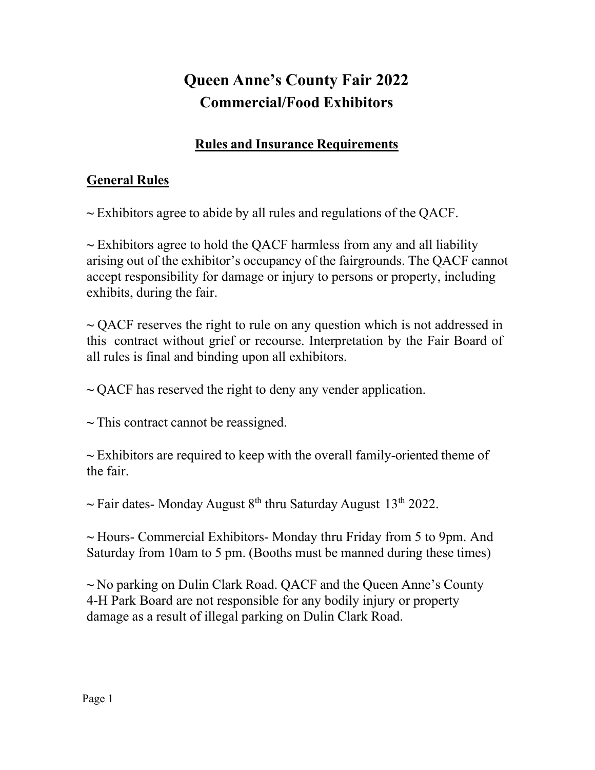# **Queen Anne's County Fair 2022 Commercial/Food Exhibitors**

### **Rules and Insurance Requirements**

## **General Rules**

**~** Exhibitors agree to abide by all rules and regulations of the QACF.

**~** Exhibitors agree to hold the QACF harmless from any and all liability arising out of the exhibitor's occupancy of the fairgrounds. The QACF cannot accept responsibility for damage or injury to persons or property, including exhibits, during the fair.

**~** QACF reserves the right to rule on any question which is not addressed in this contract without grief or recourse. Interpretation by the Fair Board of all rules is final and binding upon all exhibitors.

**~** QACF has reserved the right to deny any vender application.

**~** This contract cannot be reassigned.

**~** Exhibitors are required to keep with the overall family-oriented theme of the fair.

~ Fair dates- Monday August 8<sup>th</sup> thru Saturday August 13<sup>th</sup> 2022.

**~** Hours- Commercial Exhibitors- Monday thru Friday from 5 to 9pm. And Saturday from 10am to 5 pm. (Booths must be manned during these times)

**~** No parking on Dulin Clark Road. QACF and the Queen Anne's County 4-H Park Board are not responsible for any bodily injury or property damage as a result of illegal parking on Dulin Clark Road.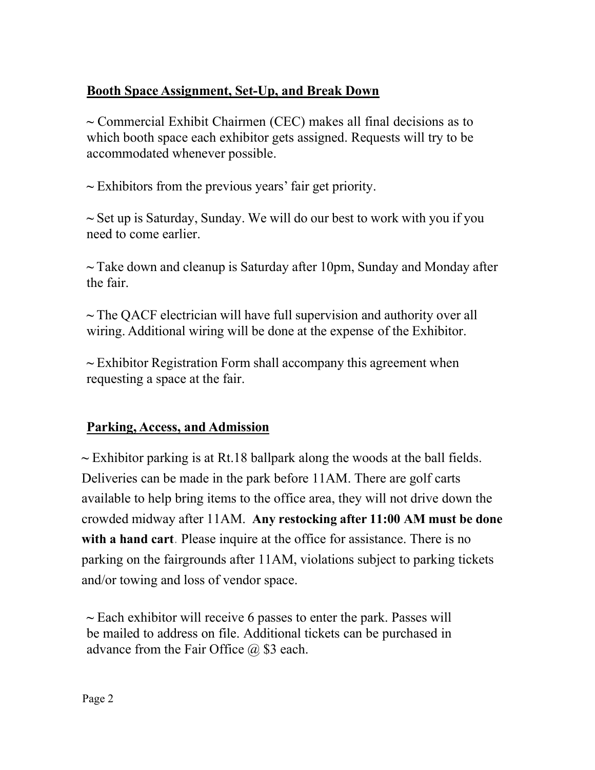#### **Booth Space Assignment, Set-Up, and Break Down**

**~** Commercial Exhibit Chairmen (CEC) makes all final decisions as to which booth space each exhibitor gets assigned. Requests will try to be accommodated whenever possible.

**~** Exhibitors from the previous years' fair get priority.

**~** Set up is Saturday, Sunday. We will do our best to work with you if you need to come earlier.

**~** Take down and cleanup is Saturday after 10pm, Sunday and Monday after the fair.

**~** The QACF electrician will have full supervision and authority over all wiring. Additional wiring will be done at the expense of the Exhibitor.

**~** Exhibitor Registration Form shall accompany this agreement when requesting a space at the fair.

#### **Parking, Access, and Admission**

**~** Exhibitor parking is at Rt.18 ballpark along the woods at the ball fields. Deliveries can be made in the park before 11AM. There are golf carts available to help bring items to the office area, they will not drive down the crowded midway after 11AM. **Any restocking after 11:00 AM must be done with a hand cart**. Please inquire at the office for assistance. There is no parking on the fairgrounds after 11AM, violations subject to parking tickets and/or towing and loss of vendor space.

**~** Each exhibitor will receive 6 passes to enter the park. Passes will be mailed to address on file. Additional tickets can be purchased in advance from the Fair Office  $\omega$  \$3 each.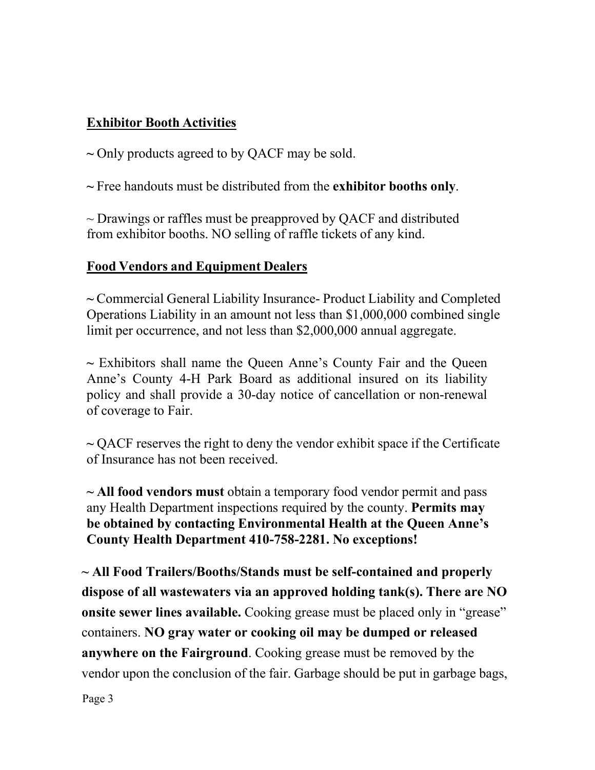#### **Exhibitor Booth Activities**

**~** Only products agreed to by QACF may be sold.

**~** Free handouts must be distributed from the **exhibitor booths only**.

 $\sim$  Drawings or raffles must be preapproved by QACF and distributed from exhibitor booths. NO selling of raffle tickets of any kind.

#### **Food Vendors and Equipment Dealers**

**~** Commercial General Liability Insurance- Product Liability and Completed Operations Liability in an amount not less than \$1,000,000 combined single limit per occurrence, and not less than \$2,000,000 annual aggregate.

**~** Exhibitors shall name the Queen Anne's County Fair and the Queen Anne's County 4-H Park Board as additional insured on its liability policy and shall provide a 30-day notice of cancellation or non-renewal of coverage to Fair.

**~** QACF reserves the right to deny the vendor exhibit space if the Certificate of Insurance has not been received.

**~ All food vendors must** obtain a temporary food vendor permit and pass any Health Department inspections required by the county. **Permits may be obtained by contacting Environmental Health at the Queen Anne's County Health Department 410-758-2281. No exceptions!**

**~ All Food Trailers/Booths/Stands must be self-contained and properly dispose of all wastewaters via an approved holding tank(s). There are NO onsite sewer lines available.** Cooking grease must be placed only in "grease" containers. **NO gray water or cooking oil may be dumped or released anywhere on the Fairground**. Cooking grease must be removed by the vendor upon the conclusion of the fair. Garbage should be put in garbage bags,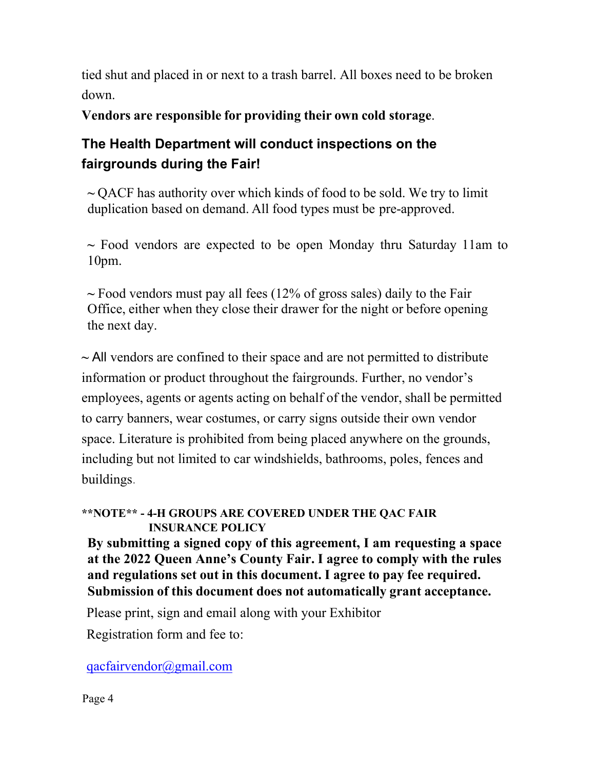tied shut and placed in or next to a trash barrel. All boxes need to be broken down.

**Vendors are responsible for providing their own cold storage**.

# **The Health Department will conduct inspections on the fairgrounds during the Fair!**

**~** QACF has authority over which kinds of food to be sold. We try to limit duplication based on demand. All food types must be pre-approved.

**~** Food vendors are expected to be open Monday thru Saturday 11am to 10pm.

**~** Food vendors must pay all fees (12% of gross sales) daily to the Fair Office, either when they close their drawer for the night or before opening the next day.

**~** All vendors are confined to their space and are not permitted to distribute information or product throughout the fairgrounds. Further, no vendor's employees, agents or agents acting on behalf of the vendor, shall be permitted to carry banners, wear costumes, or carry signs outside their own vendor space. Literature is prohibited from being placed anywhere on the grounds, including but not limited to car windshields, bathrooms, poles, fences and buildings.

#### **\*\*NOTE\*\* - 4-H GROUPS ARE COVERED UNDER THE QAC FAIR INSURANCE POLICY**

**By submitting a signed copy of this agreement, I am requesting a space at the 2022 Queen Anne's County Fair. I agree to comply with the rules and regulations set out in this document. I agree to pay fee required. Submission of this document does not automatically grant acceptance.**

Please print, sign and email along with your Exhibitor

Registration form and fee to:

#### [qacfairvendor@gmail.com](mailto:qacfairvendor@gmail.com)